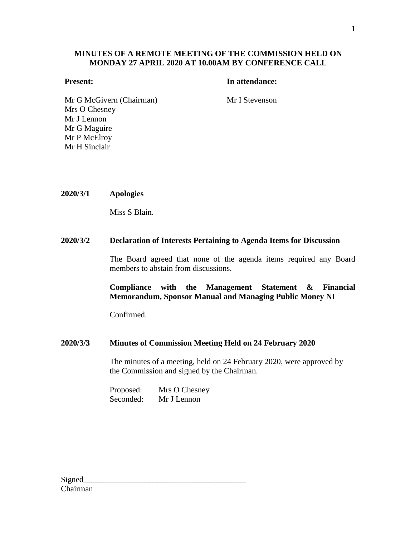## **MINUTES OF A REMOTE MEETING OF THE COMMISSION HELD ON MONDAY 27 APRIL 2020 AT 10.00AM BY CONFERENCE CALL**

## **Present: In attendance:**

Mr G McGivern (Chairman) Mr I Stevenson Mrs O Chesney Mr J Lennon Mr G Maguire Mr P McElroy Mr H Sinclair

## **2020/3/1 Apologies**

Miss S Blain.

## **2020/3/2 Declaration of Interests Pertaining to Agenda Items for Discussion**

The Board agreed that none of the agenda items required any Board members to abstain from discussions.

**Compliance with the Management Statement & Financial Memorandum, Sponsor Manual and Managing Public Money NI**

Confirmed.

## **2020/3/3 Minutes of Commission Meeting Held on 24 February 2020**

The minutes of a meeting, held on 24 February 2020, were approved by the Commission and signed by the Chairman.

Proposed: Mrs O Chesney Seconded: Mr J Lennon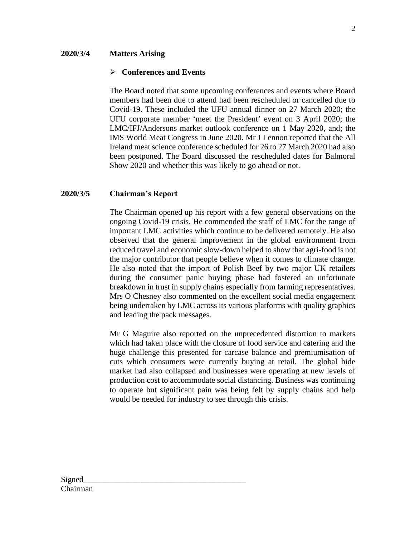## **2020/3/4 Matters Arising**

## **Conferences and Events**

The Board noted that some upcoming conferences and events where Board members had been due to attend had been rescheduled or cancelled due to Covid-19. These included the UFU annual dinner on 27 March 2020; the UFU corporate member 'meet the President' event on 3 April 2020; the LMC/IFJ/Andersons market outlook conference on 1 May 2020, and; the IMS World Meat Congress in June 2020. Mr J Lennon reported that the All Ireland meat science conference scheduled for 26 to 27 March 2020 had also been postponed. The Board discussed the rescheduled dates for Balmoral Show 2020 and whether this was likely to go ahead or not.

## **2020/3/5 Chairman's Report**

The Chairman opened up his report with a few general observations on the ongoing Covid-19 crisis. He commended the staff of LMC for the range of important LMC activities which continue to be delivered remotely. He also observed that the general improvement in the global environment from reduced travel and economic slow-down helped to show that agri-food is not the major contributor that people believe when it comes to climate change. He also noted that the import of Polish Beef by two major UK retailers during the consumer panic buying phase had fostered an unfortunate breakdown in trust in supply chains especially from farming representatives. Mrs O Chesney also commented on the excellent social media engagement being undertaken by LMC across its various platforms with quality graphics and leading the pack messages.

Mr G Maguire also reported on the unprecedented distortion to markets which had taken place with the closure of food service and catering and the huge challenge this presented for carcase balance and premiumisation of cuts which consumers were currently buying at retail. The global hide market had also collapsed and businesses were operating at new levels of production cost to accommodate social distancing. Business was continuing to operate but significant pain was being felt by supply chains and help would be needed for industry to see through this crisis.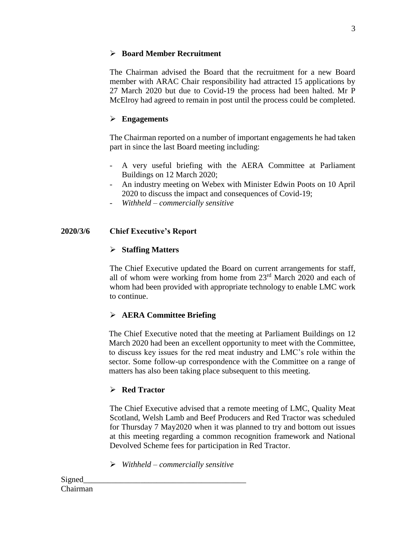## **Board Member Recruitment**

The Chairman advised the Board that the recruitment for a new Board member with ARAC Chair responsibility had attracted 15 applications by 27 March 2020 but due to Covid-19 the process had been halted. Mr P McElroy had agreed to remain in post until the process could be completed.

# **Engagements**

The Chairman reported on a number of important engagements he had taken part in since the last Board meeting including:

- A very useful briefing with the AERA Committee at Parliament Buildings on 12 March 2020;
- An industry meeting on Webex with Minister Edwin Poots on 10 April 2020 to discuss the impact and consequences of Covid-19;
- *Withheld – commercially sensitive*

# **2020/3/6 Chief Executive's Report**

# **Staffing Matters**

The Chief Executive updated the Board on current arrangements for staff, all of whom were working from home from 23rd March 2020 and each of whom had been provided with appropriate technology to enable LMC work to continue.

# **AERA Committee Briefing**

The Chief Executive noted that the meeting at Parliament Buildings on 12 March 2020 had been an excellent opportunity to meet with the Committee, to discuss key issues for the red meat industry and LMC's role within the sector. Some follow-up correspondence with the Committee on a range of matters has also been taking place subsequent to this meeting.

# **Red Tractor**

The Chief Executive advised that a remote meeting of LMC, Quality Meat Scotland, Welsh Lamb and Beef Producers and Red Tractor was scheduled for Thursday 7 May2020 when it was planned to try and bottom out issues at this meeting regarding a common recognition framework and National Devolved Scheme fees for participation in Red Tractor.

*Withheld – commercially sensitive*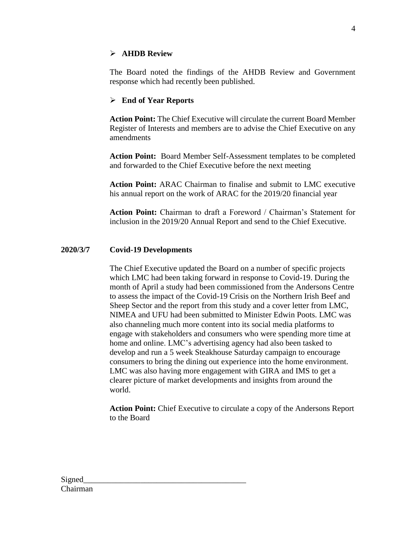## **AHDB Review**

The Board noted the findings of the AHDB Review and Government response which had recently been published.

## **End of Year Reports**

**Action Point:** The Chief Executive will circulate the current Board Member Register of Interests and members are to advise the Chief Executive on any amendments

**Action Point:** Board Member Self-Assessment templates to be completed and forwarded to the Chief Executive before the next meeting

**Action Point:** ARAC Chairman to finalise and submit to LMC executive his annual report on the work of ARAC for the 2019/20 financial year

**Action Point:** Chairman to draft a Foreword / Chairman's Statement for inclusion in the 2019/20 Annual Report and send to the Chief Executive.

## **2020/3/7 Covid-19 Developments**

The Chief Executive updated the Board on a number of specific projects which LMC had been taking forward in response to Covid-19. During the month of April a study had been commissioned from the Andersons Centre to assess the impact of the Covid-19 Crisis on the Northern Irish Beef and Sheep Sector and the report from this study and a cover letter from LMC, NIMEA and UFU had been submitted to Minister Edwin Poots. LMC was also channeling much more content into its social media platforms to engage with stakeholders and consumers who were spending more time at home and online. LMC's advertising agency had also been tasked to develop and run a 5 week Steakhouse Saturday campaign to encourage consumers to bring the dining out experience into the home environment. LMC was also having more engagement with GIRA and IMS to get a clearer picture of market developments and insights from around the world.

**Action Point:** Chief Executive to circulate a copy of the Andersons Report to the Board